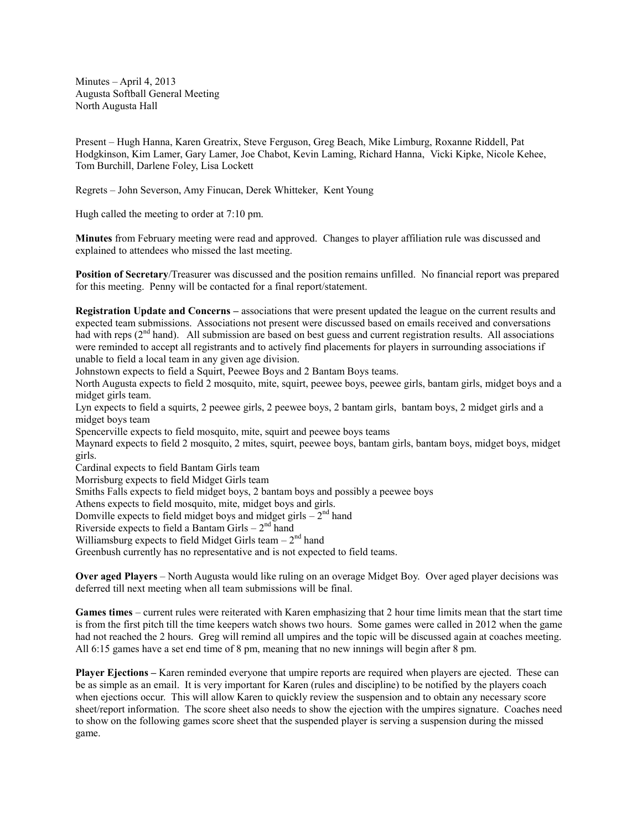Minutes – April 4, 2013 Augusta Softball General Meeting North Augusta Hall

Present – Hugh Hanna, Karen Greatrix, Steve Ferguson, Greg Beach, Mike Limburg, Roxanne Riddell, Pat Hodgkinson, Kim Lamer, Gary Lamer, Joe Chabot, Kevin Laming, Richard Hanna, Vicki Kipke, Nicole Kehee, Tom Burchill, Darlene Foley, Lisa Lockett

Regrets – John Severson, Amy Finucan, Derek Whitteker, Kent Young

Hugh called the meeting to order at 7:10 pm.

**Minutes** from February meeting were read and approved. Changes to player affiliation rule was discussed and explained to attendees who missed the last meeting.

**Position of Secretary**/Treasurer was discussed and the position remains unfilled. No financial report was prepared for this meeting. Penny will be contacted for a final report/statement.

**Registration Update and Concerns –** associations that were present updated the league on the current results and expected team submissions. Associations not present were discussed based on emails received and conversations had with reps (2<sup>nd</sup> hand). All submission are based on best guess and current registration results. All associations were reminded to accept all registrants and to actively find placements for players in surrounding associations if unable to field a local team in any given age division.

Johnstown expects to field a Squirt, Peewee Boys and 2 Bantam Boys teams.

North Augusta expects to field 2 mosquito, mite, squirt, peewee boys, peewee girls, bantam girls, midget boys and a midget girls team.

Lyn expects to field a squirts, 2 peewee girls, 2 peewee boys, 2 bantam girls, bantam boys, 2 midget girls and a midget boys team

Spencerville expects to field mosquito, mite, squirt and peewee boys teams

Maynard expects to field 2 mosquito, 2 mites, squirt, peewee boys, bantam girls, bantam boys, midget boys, midget girls.

Cardinal expects to field Bantam Girls team

Morrisburg expects to field Midget Girls team

Smiths Falls expects to field midget boys, 2 bantam boys and possibly a peewee boys

Athens expects to field mosquito, mite, midget boys and girls.

Domville expects to field midget boys and midget girls  $-2<sup>nd</sup>$  hand

Riverside expects to field a Bantam Girls  $-2<sup>nd</sup>$  hand

Williamsburg expects to field Midget Girls team  $-2<sup>nd</sup>$  hand

Greenbush currently has no representative and is not expected to field teams.

**Over aged Players** – North Augusta would like ruling on an overage Midget Boy. Over aged player decisions was deferred till next meeting when all team submissions will be final.

**Games times** – current rules were reiterated with Karen emphasizing that 2 hour time limits mean that the start time is from the first pitch till the time keepers watch shows two hours. Some games were called in 2012 when the game had not reached the 2 hours. Greg will remind all umpires and the topic will be discussed again at coaches meeting. All 6:15 games have a set end time of 8 pm, meaning that no new innings will begin after 8 pm.

**Player Ejections –** Karen reminded everyone that umpire reports are required when players are ejected. These can be as simple as an email. It is very important for Karen (rules and discipline) to be notified by the players coach when ejections occur. This will allow Karen to quickly review the suspension and to obtain any necessary score sheet/report information. The score sheet also needs to show the ejection with the umpires signature. Coaches need to show on the following games score sheet that the suspended player is serving a suspension during the missed game.